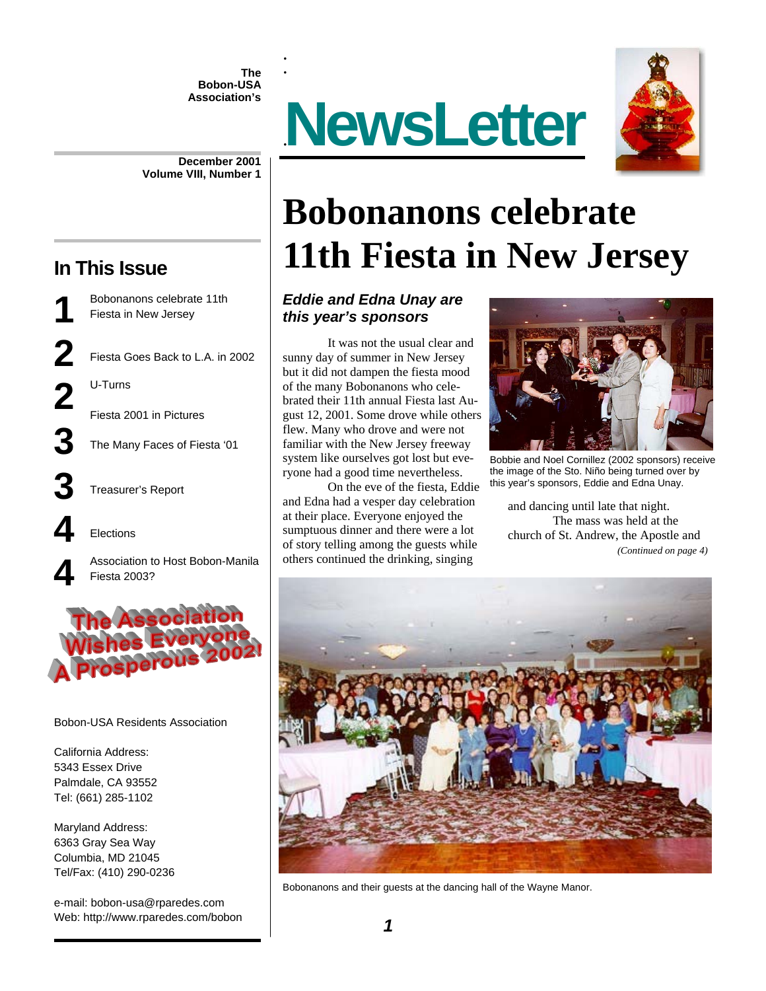**The Bobon-USA Association's**  . .<br>.

**December 2001 Volume VIII, Number 1** 

### **In This Issue**



**1** Bobonanons celebrate 11th Fiesta in New Jersey

**2** Fiesta Goes Back to L.A. in 2002

**2** U-Turns

Fiesta 2001 in Pictures

**3** The Many Faces of Fiesta '01

**3** Treasurer's Report

**4** Elections

**4** Association to Host Bobon-Manila Fiesta 2003?



Bobon-USA Residents Association

California Address: 5343 Essex Drive Palmdale, CA 93552 Tel: (661) 285-1102

Maryland Address: 6363 Gray Sea Way Columbia, MD 21045 Tel/Fax: (410) 290-0236

e-mail: bobon-usa@rparedes.com Web: http://www.rparedes.com/bobon





# **Bobonanons celebrate 11th Fiesta in New Jersey**

#### *Eddie and Edna Unay are this year's sponsors*

 It was not the usual clear and sunny day of summer in New Jersey but it did not dampen the fiesta mood of the many Bobonanons who celebrated their 11th annual Fiesta last August 12, 2001. Some drove while others flew. Many who drove and were not familiar with the New Jersey freeway system like ourselves got lost but everyone had a good time nevertheless.

 On the eve of the fiesta, Eddie and Edna had a vesper day celebration at their place. Everyone enjoyed the sumptuous dinner and there were a lot of story telling among the guests while others continued the drinking, singing



Bobbie and Noel Cornillez (2002 sponsors) receive the image of the Sto. Niño being turned over by this year's sponsors, Eddie and Edna Unay.

and dancing until late that night. The mass was held at the church of St. Andrew, the Apostle and *(Continued on page 4)* 



Bobonanons and their guests at the dancing hall of the Wayne Manor.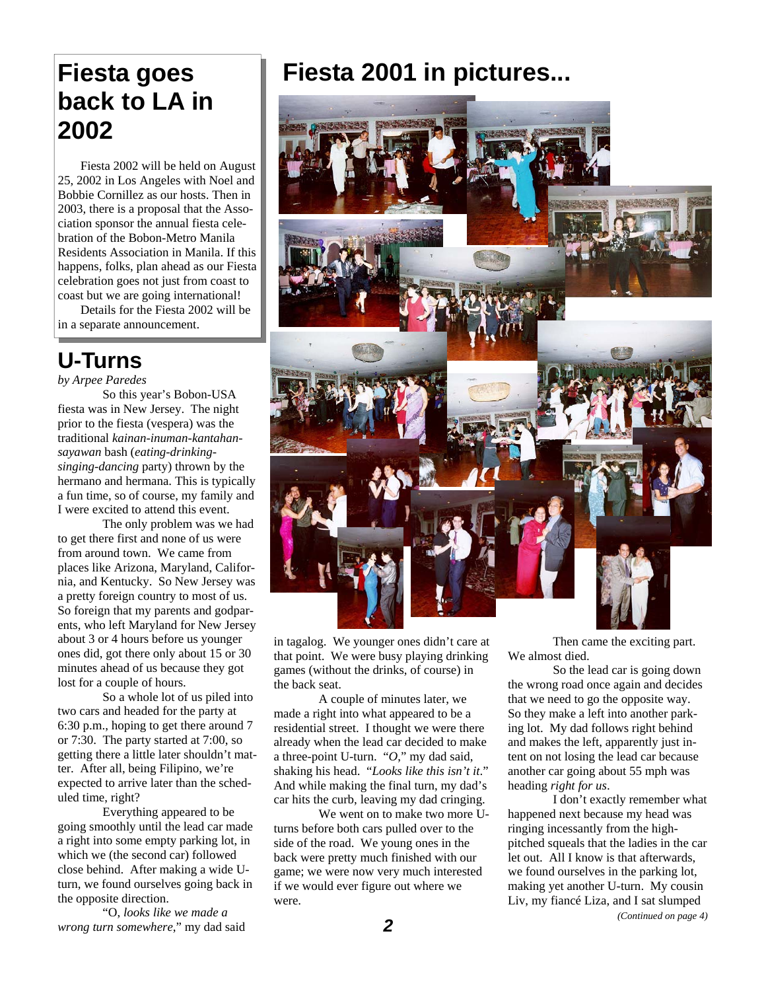# **Fiesta goes back to LA in 2002**

 Fiesta 2002 will be held on August 25, 2002 in Los Angeles with Noel and Bobbie Cornillez as our hosts. Then in 2003, there is a proposal that the Association sponsor the annual fiesta celebration of the Bobon-Metro Manila Residents Association in Manila. If this happens, folks, plan ahead as our Fiesta celebration goes not just from coast to coast but we are going international!

 Details for the Fiesta 2002 will be in a separate announcement.

## **U-Turns**

*by Arpee Paredes*

So this year's Bobon-USA fiesta was in New Jersey. The night prior to the fiesta (vespera) was the traditional *kainan-inuman-kantahansayawan* bash (*eating-drinkingsinging-dancing* party) thrown by the hermano and hermana. This is typically a fun time, so of course, my family and I were excited to attend this event.

The only problem was we had to get there first and none of us were from around town. We came from places like Arizona, Maryland, California, and Kentucky. So New Jersey was a pretty foreign country to most of us. So foreign that my parents and godparents, who left Maryland for New Jersey about 3 or 4 hours before us younger ones did, got there only about 15 or 30 minutes ahead of us because they got lost for a couple of hours.

So a whole lot of us piled into two cars and headed for the party at 6:30 p.m., hoping to get there around 7 or 7:30. The party started at 7:00, so getting there a little later shouldn't matter. After all, being Filipino, we're expected to arrive later than the scheduled time, right?

Everything appeared to be going smoothly until the lead car made a right into some empty parking lot, in which we (the second car) followed close behind. After making a wide Uturn, we found ourselves going back in the opposite direction.

"O, *looks like we made a wrong turn somewhere*," my dad said

# **Fiesta 2001 in pictures...**



in tagalog. We younger ones didn't care at that point. We were busy playing drinking games (without the drinks, of course) in the back seat.

A couple of minutes later, we made a right into what appeared to be a residential street. I thought we were there already when the lead car decided to make a three-point U-turn. "*O*," my dad said, shaking his head. "*Looks like this isn't it*." And while making the final turn, my dad's car hits the curb, leaving my dad cringing.

We went on to make two more Uturns before both cars pulled over to the side of the road. We young ones in the back were pretty much finished with our game; we were now very much interested if we would ever figure out where we were.

Then came the exciting part. We almost died.

So the lead car is going down the wrong road once again and decides that we need to go the opposite way. So they make a left into another parking lot. My dad follows right behind and makes the left, apparently just intent on not losing the lead car because another car going about 55 mph was heading *right for us*.

I don't exactly remember what happened next because my head was ringing incessantly from the highpitched squeals that the ladies in the car let out. All I know is that afterwards, we found ourselves in the parking lot, making yet another U-turn. My cousin Liv, my fiancé Liza, and I sat slumped *(Continued on page 4)*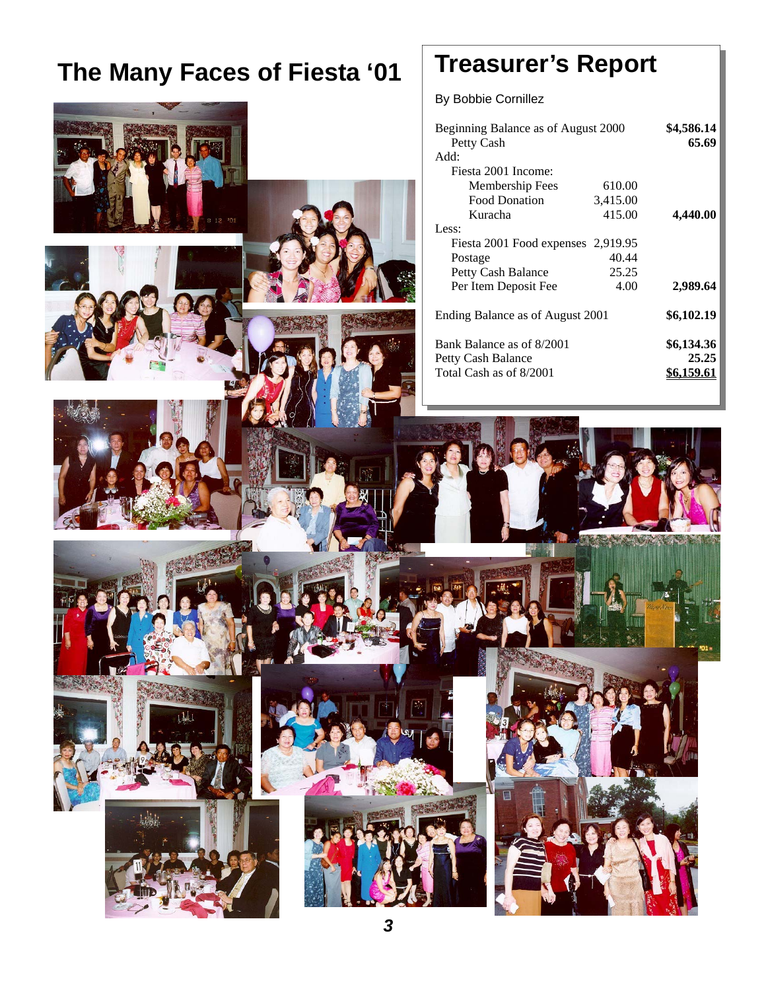# **The Many Faces of Fiesta '01 Treasurer's Report**



By Bobbie Cornillez

| Beginning Balance as of August 2000<br>Petty Cash |          | \$4,586.14<br>65.69 |
|---------------------------------------------------|----------|---------------------|
| Add:                                              |          |                     |
| Fiesta 2001 Income:                               |          |                     |
| Membership Fees                                   | 610.00   |                     |
| Food Donation                                     | 3,415.00 |                     |
| Kuracha                                           | 415.00   | 4,440.00            |
| Less:                                             |          |                     |
| Fiesta 2001 Food expenses 2,919.95                |          |                     |
| Postage                                           | 40.44    |                     |
| Petty Cash Balance                                | 25.25    |                     |
| Per Item Deposit Fee                              | 4.00     | 2,989.64            |
| Ending Balance as of August 2001                  |          | \$6,102.19          |
| Bank Balance as of 8/2001                         |          | \$6,134.36          |
| Petty Cash Balance                                |          | 25.25               |
| Total Cash as of 8/2001                           |          |                     |
|                                                   |          |                     |